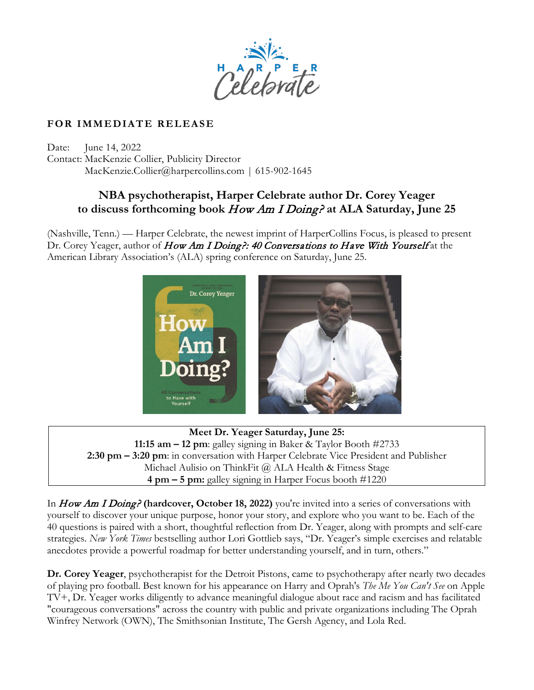

## **FOR IMMEDIATE RELEASE**

Date: June 14, 2022 Contact: MacKenzie Collier, Publicity Director MacKenzie.Collier@harpercollins.com | 615-902-1645

## **NBA psychotherapist, Harper Celebrate author Dr. Corey Yeager to discuss forthcoming book** How Am I Doing? **at ALA Saturday, June 25**

(Nashville, Tenn.) — Harper Celebrate, the newest imprint of HarperCollins Focus, is pleased to present Dr. Corey Yeager, author of How Am I Doing?: 40 Conversations to Have With Yourself at the American Library Association's (ALA) spring conference on Saturday, June 25.



**Meet Dr. Yeager Saturday, June 25: 11:15 am – 12 pm**: galley signing in Baker & Taylor Booth #2733 **2:30 pm – 3:20 pm**: in conversation with Harper Celebrate Vice President and Publisher Michael Aulisio on ThinkFit @ ALA Health & Fitness Stage **4 pm – 5 pm:** galley signing in Harper Focus booth #1220

In How Am I Doing? **(hardcover, October 18, 2022)** you're invited into a series of conversations with yourself to discover your unique purpose, honor your story, and explore who you want to be. Each of the 40 questions is paired with a short, thoughtful reflection from Dr. Yeager, along with prompts and self-care strategies. *New York Times* bestselling author Lori Gottlieb says, "Dr. Yeager's simple exercises and relatable anecdotes provide a powerful roadmap for better understanding yourself, and in turn, others."

**Dr. Corey Yeager**, psychotherapist for the Detroit Pistons, came to psychotherapy after nearly two decades of playing pro football. Best known for his appearance on Harry and Oprah's *The Me You Can't See* on Apple TV+, Dr. Yeager works diligently to advance meaningful dialogue about race and racism and has facilitated "courageous conversations" across the country with public and private organizations including The Oprah Winfrey Network (OWN), The Smithsonian Institute, The Gersh Agency, and Lola Red.